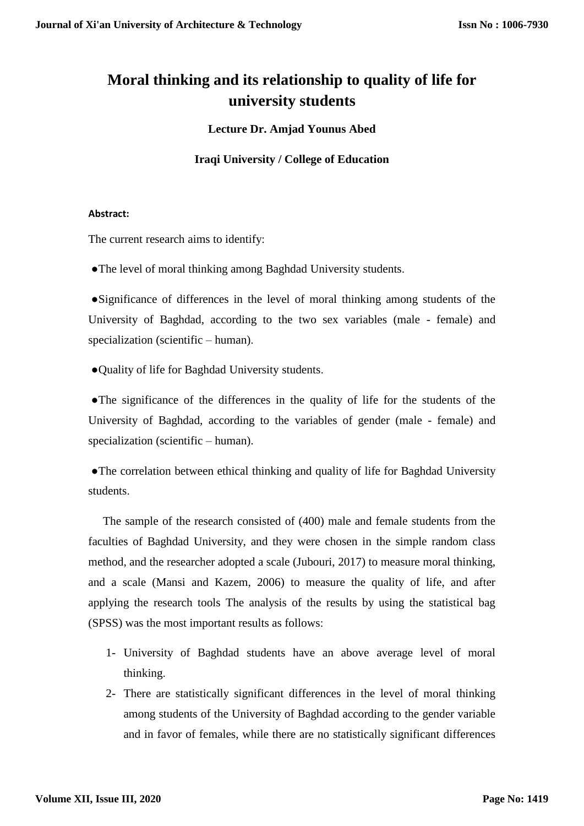# **Moral thinking and its relationship to quality of life for university students**

**Lecture Dr. Amjad Younus Abed**

**Iraqi University / College of Education**

### **Abstract:**

The current research aims to identify:

●The level of moral thinking among Baghdad University students.

 ●Significance of differences in the level of moral thinking among students of the University of Baghdad, according to the two sex variables (male - female) and specialization (scientific – human).

●Quality of life for Baghdad University students.

 ●The significance of the differences in the quality of life for the students of the University of Baghdad, according to the variables of gender (male - female) and specialization (scientific – human).

 ●The correlation between ethical thinking and quality of life for Baghdad University students.

The sample of the research consisted of (400) male and female students from the faculties of Baghdad University, and they were chosen in the simple random class method, and the researcher adopted a scale (Jubouri, 2017) to measure moral thinking, and a scale (Mansi and Kazem, 2006) to measure the quality of life, and after applying the research tools The analysis of the results by using the statistical bag (SPSS) was the most important results as follows:

- 1- University of Baghdad students have an above average level of moral thinking.
- 2- There are statistically significant differences in the level of moral thinking among students of the University of Baghdad according to the gender variable and in favor of females, while there are no statistically significant differences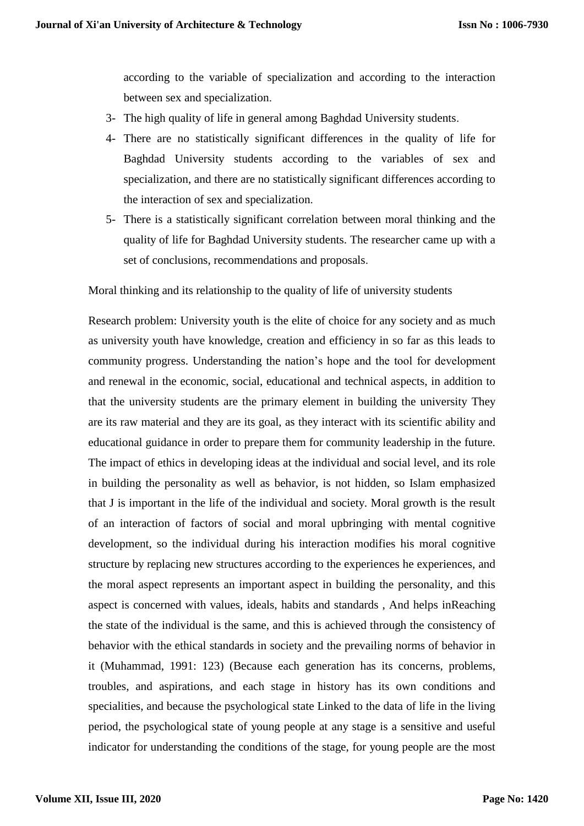according to the variable of specialization and according to the interaction between sex and specialization.

- 3- The high quality of life in general among Baghdad University students.
- 4- There are no statistically significant differences in the quality of life for Baghdad University students according to the variables of sex and specialization, and there are no statistically significant differences according to the interaction of sex and specialization.
- 5- There is a statistically significant correlation between moral thinking and the quality of life for Baghdad University students. The researcher came up with a set of conclusions, recommendations and proposals.

Moral thinking and its relationship to the quality of life of university students

Research problem: University youth is the elite of choice for any society and as much as university youth have knowledge, creation and efficiency in so far as this leads to community progress. Understanding the nation's hope and the tool for development and renewal in the economic, social, educational and technical aspects, in addition to that the university students are the primary element in building the university They are its raw material and they are its goal, as they interact with its scientific ability and educational guidance in order to prepare them for community leadership in the future. The impact of ethics in developing ideas at the individual and social level, and its role in building the personality as well as behavior, is not hidden, so Islam emphasized that J is important in the life of the individual and society. Moral growth is the result of an interaction of factors of social and moral upbringing with mental cognitive development, so the individual during his interaction modifies his moral cognitive structure by replacing new structures according to the experiences he experiences, and the moral aspect represents an important aspect in building the personality, and this aspect is concerned with values, ideals, habits and standards , And helps inReaching the state of the individual is the same, and this is achieved through the consistency of behavior with the ethical standards in society and the prevailing norms of behavior in it (Muhammad, 1991: 123) (Because each generation has its concerns, problems, troubles, and aspirations, and each stage in history has its own conditions and specialities, and because the psychological state Linked to the data of life in the living period, the psychological state of young people at any stage is a sensitive and useful indicator for understanding the conditions of the stage, for young people are the most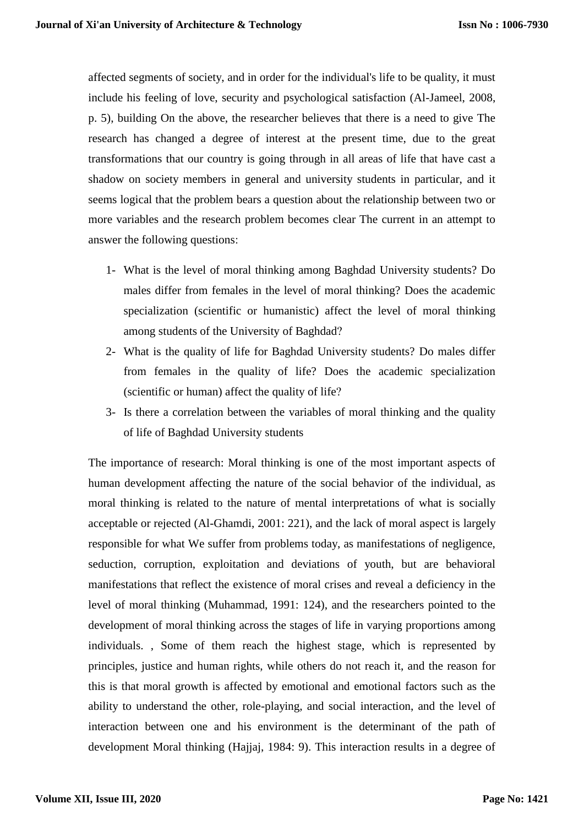affected segments of society, and in order for the individual's life to be quality, it must include his feeling of love, security and psychological satisfaction (Al-Jameel, 2008, p. 5), building On the above, the researcher believes that there is a need to give The research has changed a degree of interest at the present time, due to the great transformations that our country is going through in all areas of life that have cast a shadow on society members in general and university students in particular, and it seems logical that the problem bears a question about the relationship between two or more variables and the research problem becomes clear The current in an attempt to answer the following questions:

- 1- What is the level of moral thinking among Baghdad University students? Do males differ from females in the level of moral thinking? Does the academic specialization (scientific or humanistic) affect the level of moral thinking among students of the University of Baghdad?
- 2- What is the quality of life for Baghdad University students? Do males differ from females in the quality of life? Does the academic specialization (scientific or human) affect the quality of life?
- 3- Is there a correlation between the variables of moral thinking and the quality of life of Baghdad University students

The importance of research: Moral thinking is one of the most important aspects of human development affecting the nature of the social behavior of the individual, as moral thinking is related to the nature of mental interpretations of what is socially acceptable or rejected (Al-Ghamdi, 2001: 221), and the lack of moral aspect is largely responsible for what We suffer from problems today, as manifestations of negligence, seduction, corruption, exploitation and deviations of youth, but are behavioral manifestations that reflect the existence of moral crises and reveal a deficiency in the level of moral thinking (Muhammad, 1991: 124), and the researchers pointed to the development of moral thinking across the stages of life in varying proportions among individuals. , Some of them reach the highest stage, which is represented by principles, justice and human rights, while others do not reach it, and the reason for this is that moral growth is affected by emotional and emotional factors such as the ability to understand the other, role-playing, and social interaction, and the level of interaction between one and his environment is the determinant of the path of development Moral thinking (Hajjaj, 1984: 9). This interaction results in a degree of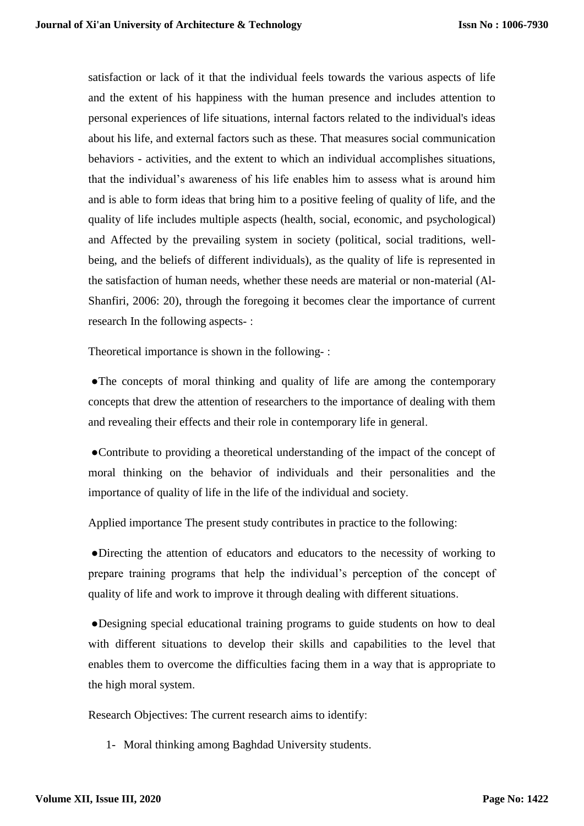satisfaction or lack of it that the individual feels towards the various aspects of life and the extent of his happiness with the human presence and includes attention to personal experiences of life situations, internal factors related to the individual's ideas about his life, and external factors such as these. That measures social communication behaviors - activities, and the extent to which an individual accomplishes situations, that the individual's awareness of his life enables him to assess what is around him and is able to form ideas that bring him to a positive feeling of quality of life, and the quality of life includes multiple aspects (health, social, economic, and psychological) and Affected by the prevailing system in society (political, social traditions, wellbeing, and the beliefs of different individuals), as the quality of life is represented in the satisfaction of human needs, whether these needs are material or non-material (Al-Shanfiri, 2006: 20), through the foregoing it becomes clear the importance of current research In the following aspects- :

Theoretical importance is shown in the following- :

 ●The concepts of moral thinking and quality of life are among the contemporary concepts that drew the attention of researchers to the importance of dealing with them and revealing their effects and their role in contemporary life in general.

 ●Contribute to providing a theoretical understanding of the impact of the concept of moral thinking on the behavior of individuals and their personalities and the importance of quality of life in the life of the individual and society.

Applied importance The present study contributes in practice to the following:

 ●Directing the attention of educators and educators to the necessity of working to prepare training programs that help the individual's perception of the concept of quality of life and work to improve it through dealing with different situations.

 ●Designing special educational training programs to guide students on how to deal with different situations to develop their skills and capabilities to the level that enables them to overcome the difficulties facing them in a way that is appropriate to the high moral system.

Research Objectives: The current research aims to identify:

1- Moral thinking among Baghdad University students.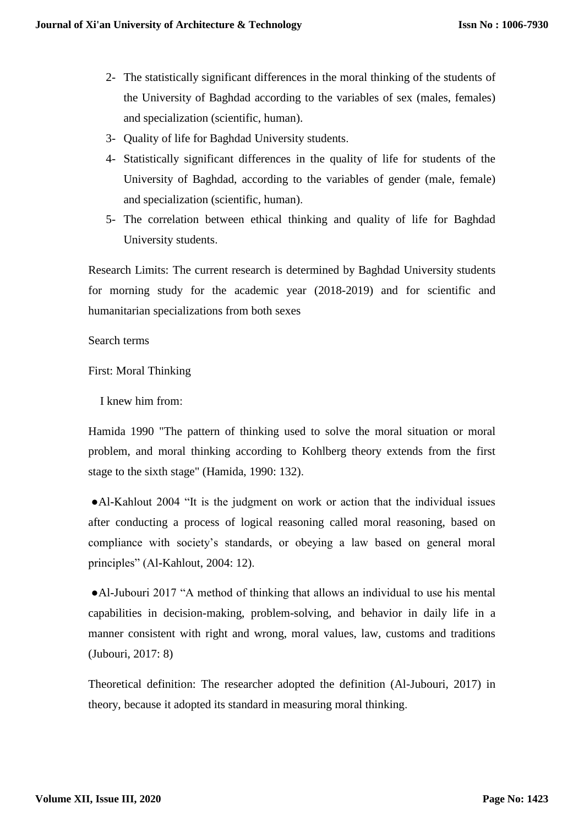- 2- The statistically significant differences in the moral thinking of the students of the University of Baghdad according to the variables of sex (males, females) and specialization (scientific, human).
- 3- Quality of life for Baghdad University students.
- 4- Statistically significant differences in the quality of life for students of the University of Baghdad, according to the variables of gender (male, female) and specialization (scientific, human).
- 5- The correlation between ethical thinking and quality of life for Baghdad University students.

Research Limits: The current research is determined by Baghdad University students for morning study for the academic year (2018-2019) and for scientific and humanitarian specializations from both sexes

Search terms

First: Moral Thinking

I knew him from:

Hamida 1990 "The pattern of thinking used to solve the moral situation or moral problem, and moral thinking according to Kohlberg theory extends from the first stage to the sixth stage" (Hamida, 1990: 132).

 ●Al-Kahlout 2004 "It is the judgment on work or action that the individual issues after conducting a process of logical reasoning called moral reasoning, based on compliance with society's standards, or obeying a law based on general moral principles" (Al-Kahlout, 2004: 12).

 ●Al-Jubouri 2017 "A method of thinking that allows an individual to use his mental capabilities in decision-making, problem-solving, and behavior in daily life in a manner consistent with right and wrong, moral values, law, customs and traditions (Jubouri, 2017: 8)

Theoretical definition: The researcher adopted the definition (Al-Jubouri, 2017) in theory, because it adopted its standard in measuring moral thinking.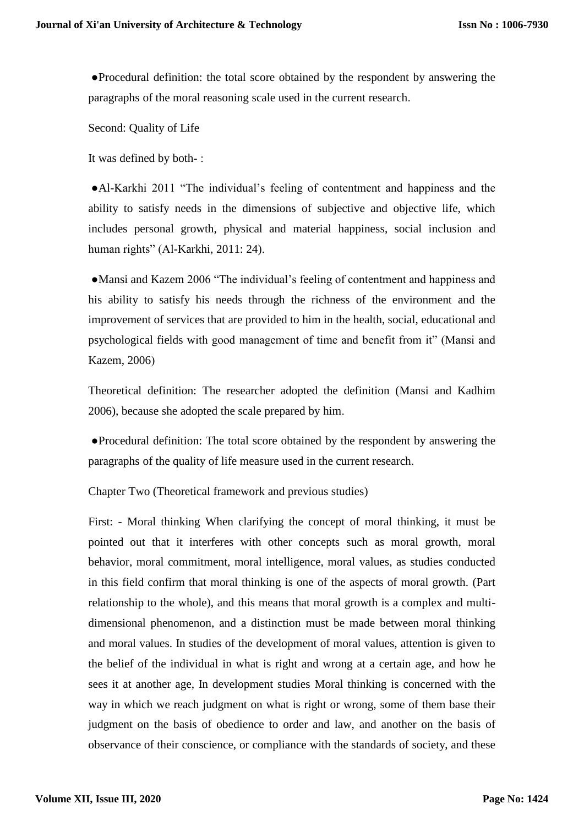●Procedural definition: the total score obtained by the respondent by answering the paragraphs of the moral reasoning scale used in the current research.

Second: Quality of Life

It was defined by both- :

 ●Al-Karkhi 2011 "The individual's feeling of contentment and happiness and the ability to satisfy needs in the dimensions of subjective and objective life, which includes personal growth, physical and material happiness, social inclusion and human rights" (Al-Karkhi, 2011: 24).

 ●Mansi and Kazem 2006 "The individual's feeling of contentment and happiness and his ability to satisfy his needs through the richness of the environment and the improvement of services that are provided to him in the health, social, educational and psychological fields with good management of time and benefit from it" (Mansi and Kazem, 2006)

Theoretical definition: The researcher adopted the definition (Mansi and Kadhim 2006), because she adopted the scale prepared by him.

 ●Procedural definition: The total score obtained by the respondent by answering the paragraphs of the quality of life measure used in the current research.

Chapter Two (Theoretical framework and previous studies)

First: - Moral thinking When clarifying the concept of moral thinking, it must be pointed out that it interferes with other concepts such as moral growth, moral behavior, moral commitment, moral intelligence, moral values, as studies conducted in this field confirm that moral thinking is one of the aspects of moral growth. (Part relationship to the whole), and this means that moral growth is a complex and multidimensional phenomenon, and a distinction must be made between moral thinking and moral values. In studies of the development of moral values, attention is given to the belief of the individual in what is right and wrong at a certain age, and how he sees it at another age, In development studies Moral thinking is concerned with the way in which we reach judgment on what is right or wrong, some of them base their judgment on the basis of obedience to order and law, and another on the basis of observance of their conscience, or compliance with the standards of society, and these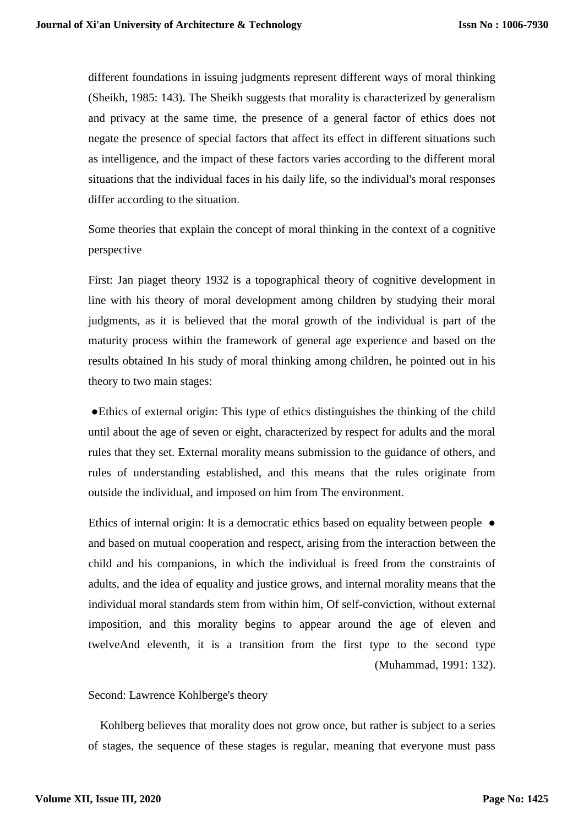different foundations in issuing judgments represent different ways of moral thinking (Sheikh, 1985: 143). The Sheikh suggests that morality is characterized by generalism and privacy at the same time, the presence of a general factor of ethics does not negate the presence of special factors that affect its effect in different situations such as intelligence, and the impact of these factors varies according to the different moral situations that the individual faces in his daily life, so the individual's moral responses differ according to the situation.

Some theories that explain the concept of moral thinking in the context of a cognitive perspective

First: Jan piaget theory 1932 is a topographical theory of cognitive development in line with his theory of moral development among children by studying their moral judgments, as it is believed that the moral growth of the individual is part of the maturity process within the framework of general age experience and based on the results obtained In his study of moral thinking among children, he pointed out in his theory to two main stages:

 ●Ethics of external origin: This type of ethics distinguishes the thinking of the child until about the age of seven or eight, characterized by respect for adults and the moral rules that they set. External morality means submission to the guidance of others, and rules of understanding established, and this means that the rules originate from outside the individual, and imposed on him from The environment.

Ethics of internal origin: It is a democratic ethics based on equality between people ● and based on mutual cooperation and respect, arising from the interaction between the child and his companions, in which the individual is freed from the constraints of adults, and the idea of equality and justice grows, and internal morality means that the individual moral standards stem from within him, Of self-conviction, without external imposition, and this morality begins to appear around the age of eleven and twelveAnd eleventh, it is a transition from the first type to the second type (Muhammad, 1991: 132).

#### Second: Lawrence Kohlberge's theory

Kohlberg believes that morality does not grow once, but rather is subject to a series of stages, the sequence of these stages is regular, meaning that everyone must pass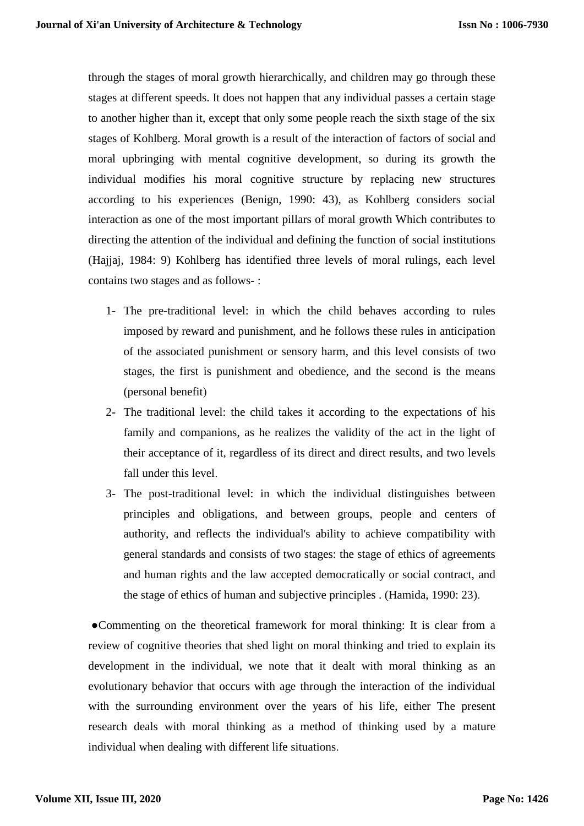through the stages of moral growth hierarchically, and children may go through these stages at different speeds. It does not happen that any individual passes a certain stage to another higher than it, except that only some people reach the sixth stage of the six stages of Kohlberg. Moral growth is a result of the interaction of factors of social and moral upbringing with mental cognitive development, so during its growth the individual modifies his moral cognitive structure by replacing new structures according to his experiences (Benign, 1990: 43), as Kohlberg considers social interaction as one of the most important pillars of moral growth Which contributes to directing the attention of the individual and defining the function of social institutions (Hajjaj, 1984: 9) Kohlberg has identified three levels of moral rulings, each level contains two stages and as follows- :

- 1- The pre-traditional level: in which the child behaves according to rules imposed by reward and punishment, and he follows these rules in anticipation of the associated punishment or sensory harm, and this level consists of two stages, the first is punishment and obedience, and the second is the means (personal benefit)
- 2- The traditional level: the child takes it according to the expectations of his family and companions, as he realizes the validity of the act in the light of their acceptance of it, regardless of its direct and direct results, and two levels fall under this level.
- 3- The post-traditional level: in which the individual distinguishes between principles and obligations, and between groups, people and centers of authority, and reflects the individual's ability to achieve compatibility with general standards and consists of two stages: the stage of ethics of agreements and human rights and the law accepted democratically or social contract, and the stage of ethics of human and subjective principles . (Hamida, 1990: 23).

 ●Commenting on the theoretical framework for moral thinking: It is clear from a review of cognitive theories that shed light on moral thinking and tried to explain its development in the individual, we note that it dealt with moral thinking as an evolutionary behavior that occurs with age through the interaction of the individual with the surrounding environment over the years of his life, either The present research deals with moral thinking as a method of thinking used by a mature individual when dealing with different life situations.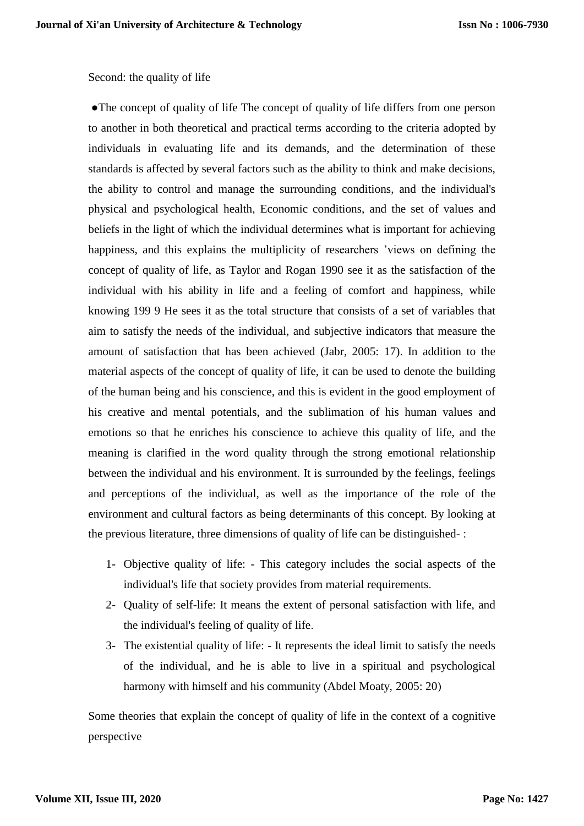### Second: the quality of life

• The concept of quality of life The concept of quality of life differs from one person to another in both theoretical and practical terms according to the criteria adopted by individuals in evaluating life and its demands, and the determination of these standards is affected by several factors such as the ability to think and make decisions, the ability to control and manage the surrounding conditions, and the individual's physical and psychological health, Economic conditions, and the set of values and beliefs in the light of which the individual determines what is important for achieving happiness, and this explains the multiplicity of researchers 'views on defining the concept of quality of life, as Taylor and Rogan 1990 see it as the satisfaction of the individual with his ability in life and a feeling of comfort and happiness, while knowing 199 9 He sees it as the total structure that consists of a set of variables that aim to satisfy the needs of the individual, and subjective indicators that measure the amount of satisfaction that has been achieved (Jabr, 2005: 17). In addition to the material aspects of the concept of quality of life, it can be used to denote the building of the human being and his conscience, and this is evident in the good employment of his creative and mental potentials, and the sublimation of his human values and emotions so that he enriches his conscience to achieve this quality of life, and the meaning is clarified in the word quality through the strong emotional relationship between the individual and his environment. It is surrounded by the feelings, feelings and perceptions of the individual, as well as the importance of the role of the environment and cultural factors as being determinants of this concept. By looking at the previous literature, three dimensions of quality of life can be distinguished- :

- 1- Objective quality of life: This category includes the social aspects of the individual's life that society provides from material requirements.
- 2- Quality of self-life: It means the extent of personal satisfaction with life, and the individual's feeling of quality of life.
- 3- The existential quality of life: It represents the ideal limit to satisfy the needs of the individual, and he is able to live in a spiritual and psychological harmony with himself and his community (Abdel Moaty, 2005: 20)

Some theories that explain the concept of quality of life in the context of a cognitive perspective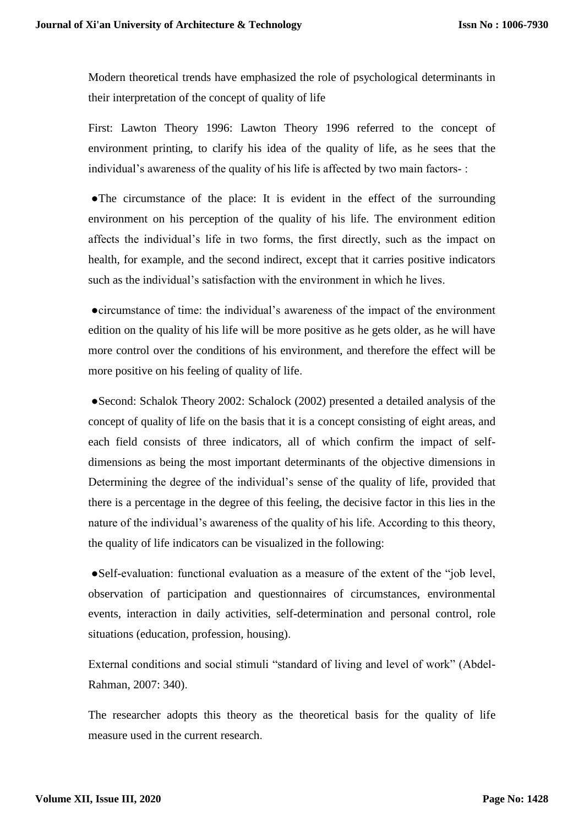Modern theoretical trends have emphasized the role of psychological determinants in their interpretation of the concept of quality of life

First: Lawton Theory 1996: Lawton Theory 1996 referred to the concept of environment printing, to clarify his idea of the quality of life, as he sees that the individual's awareness of the quality of his life is affected by two main factors- :

 ●The circumstance of the place: It is evident in the effect of the surrounding environment on his perception of the quality of his life. The environment edition affects the individual's life in two forms, the first directly, such as the impact on health, for example, and the second indirect, except that it carries positive indicators such as the individual's satisfaction with the environment in which he lives.

 ●circumstance of time: the individual's awareness of the impact of the environment edition on the quality of his life will be more positive as he gets older, as he will have more control over the conditions of his environment, and therefore the effect will be more positive on his feeling of quality of life.

 ●Second: Schalok Theory 2002: Schalock (2002) presented a detailed analysis of the concept of quality of life on the basis that it is a concept consisting of eight areas, and each field consists of three indicators, all of which confirm the impact of selfdimensions as being the most important determinants of the objective dimensions in Determining the degree of the individual's sense of the quality of life, provided that there is a percentage in the degree of this feeling, the decisive factor in this lies in the nature of the individual's awareness of the quality of his life. According to this theory, the quality of life indicators can be visualized in the following:

 ●Self-evaluation: functional evaluation as a measure of the extent of the "job level, observation of participation and questionnaires of circumstances, environmental events, interaction in daily activities, self-determination and personal control, role situations (education, profession, housing).

External conditions and social stimuli "standard of living and level of work" (Abdel-Rahman, 2007: 340).

The researcher adopts this theory as the theoretical basis for the quality of life measure used in the current research.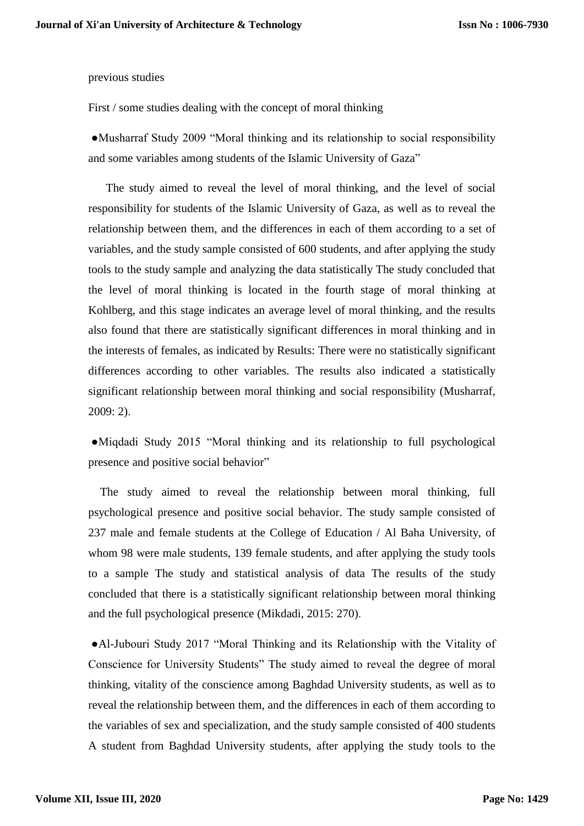#### previous studies

First / some studies dealing with the concept of moral thinking

 ●Musharraf Study 2009 "Moral thinking and its relationship to social responsibility and some variables among students of the Islamic University of Gaza"

The study aimed to reveal the level of moral thinking, and the level of social responsibility for students of the Islamic University of Gaza, as well as to reveal the relationship between them, and the differences in each of them according to a set of variables, and the study sample consisted of 600 students, and after applying the study tools to the study sample and analyzing the data statistically The study concluded that the level of moral thinking is located in the fourth stage of moral thinking at Kohlberg, and this stage indicates an average level of moral thinking, and the results also found that there are statistically significant differences in moral thinking and in the interests of females, as indicated by Results: There were no statistically significant differences according to other variables. The results also indicated a statistically significant relationship between moral thinking and social responsibility (Musharraf, 2009: 2).

 ●Miqdadi Study 2015 "Moral thinking and its relationship to full psychological presence and positive social behavior"

The study aimed to reveal the relationship between moral thinking, full psychological presence and positive social behavior. The study sample consisted of 237 male and female students at the College of Education / Al Baha University, of whom 98 were male students, 139 female students, and after applying the study tools to a sample The study and statistical analysis of data The results of the study concluded that there is a statistically significant relationship between moral thinking and the full psychological presence (Mikdadi, 2015: 270).

 ●Al-Jubouri Study 2017 "Moral Thinking and its Relationship with the Vitality of Conscience for University Students" The study aimed to reveal the degree of moral thinking, vitality of the conscience among Baghdad University students, as well as to reveal the relationship between them, and the differences in each of them according to the variables of sex and specialization, and the study sample consisted of 400 students A student from Baghdad University students, after applying the study tools to the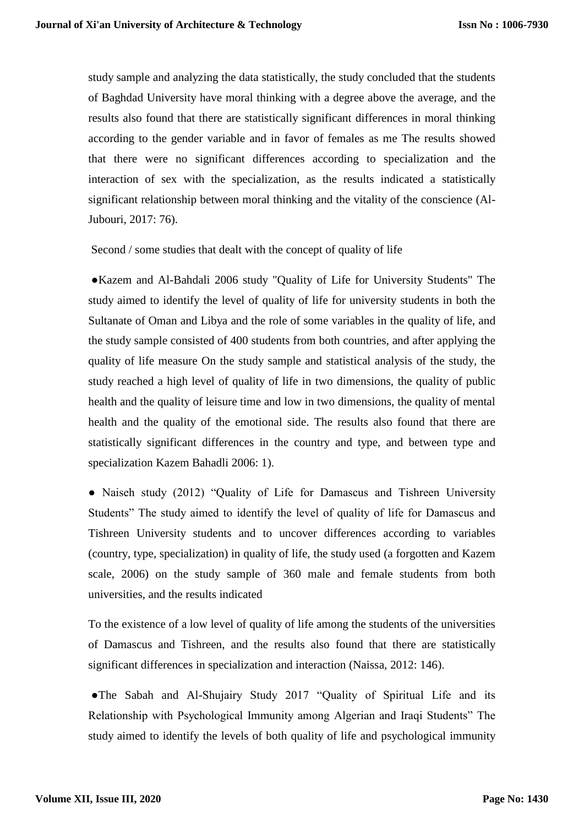study sample and analyzing the data statistically, the study concluded that the students of Baghdad University have moral thinking with a degree above the average, and the results also found that there are statistically significant differences in moral thinking according to the gender variable and in favor of females as me The results showed that there were no significant differences according to specialization and the interaction of sex with the specialization, as the results indicated a statistically significant relationship between moral thinking and the vitality of the conscience (Al-Jubouri, 2017: 76).

Second / some studies that dealt with the concept of quality of life

 ●Kazem and Al-Bahdali 2006 study "Quality of Life for University Students" The study aimed to identify the level of quality of life for university students in both the Sultanate of Oman and Libya and the role of some variables in the quality of life, and the study sample consisted of 400 students from both countries, and after applying the quality of life measure On the study sample and statistical analysis of the study, the study reached a high level of quality of life in two dimensions, the quality of public health and the quality of leisure time and low in two dimensions, the quality of mental health and the quality of the emotional side. The results also found that there are statistically significant differences in the country and type, and between type and specialization Kazem Bahadli 2006: 1).

• Naiseh study (2012) "Quality of Life for Damascus and Tishreen University Students" The study aimed to identify the level of quality of life for Damascus and Tishreen University students and to uncover differences according to variables (country, type, specialization) in quality of life, the study used (a forgotten and Kazem scale, 2006) on the study sample of 360 male and female students from both universities, and the results indicated

To the existence of a low level of quality of life among the students of the universities of Damascus and Tishreen, and the results also found that there are statistically significant differences in specialization and interaction (Naissa, 2012: 146).

 ●The Sabah and Al-Shujairy Study 2017 "Quality of Spiritual Life and its Relationship with Psychological Immunity among Algerian and Iraqi Students" The study aimed to identify the levels of both quality of life and psychological immunity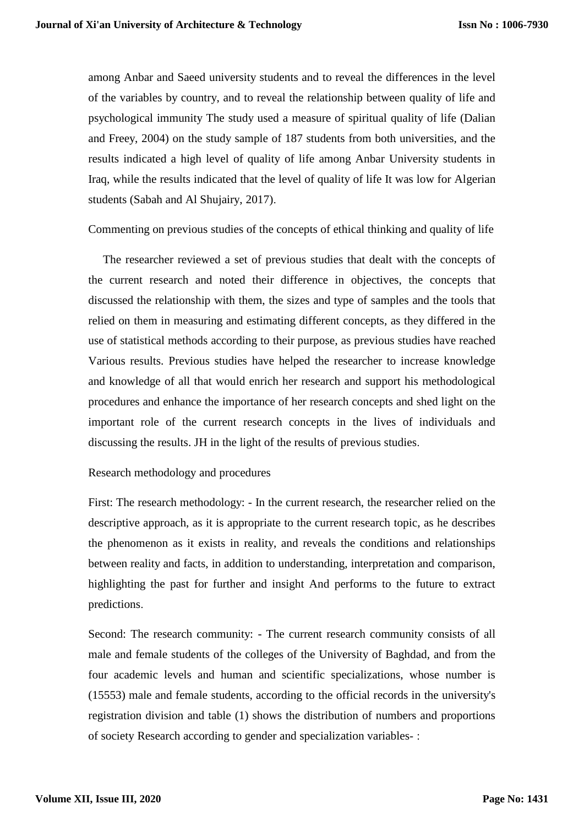among Anbar and Saeed university students and to reveal the differences in the level of the variables by country, and to reveal the relationship between quality of life and psychological immunity The study used a measure of spiritual quality of life (Dalian and Freey, 2004) on the study sample of 187 students from both universities, and the results indicated a high level of quality of life among Anbar University students in Iraq, while the results indicated that the level of quality of life It was low for Algerian students (Sabah and Al Shujairy, 2017).

Commenting on previous studies of the concepts of ethical thinking and quality of life

The researcher reviewed a set of previous studies that dealt with the concepts of the current research and noted their difference in objectives, the concepts that discussed the relationship with them, the sizes and type of samples and the tools that relied on them in measuring and estimating different concepts, as they differed in the use of statistical methods according to their purpose, as previous studies have reached Various results. Previous studies have helped the researcher to increase knowledge and knowledge of all that would enrich her research and support his methodological procedures and enhance the importance of her research concepts and shed light on the important role of the current research concepts in the lives of individuals and discussing the results. JH in the light of the results of previous studies.

#### Research methodology and procedures

First: The research methodology: - In the current research, the researcher relied on the descriptive approach, as it is appropriate to the current research topic, as he describes the phenomenon as it exists in reality, and reveals the conditions and relationships between reality and facts, in addition to understanding, interpretation and comparison, highlighting the past for further and insight And performs to the future to extract predictions.

Second: The research community: - The current research community consists of all male and female students of the colleges of the University of Baghdad, and from the four academic levels and human and scientific specializations, whose number is (15553) male and female students, according to the official records in the university's registration division and table (1) shows the distribution of numbers and proportions of society Research according to gender and specialization variables- :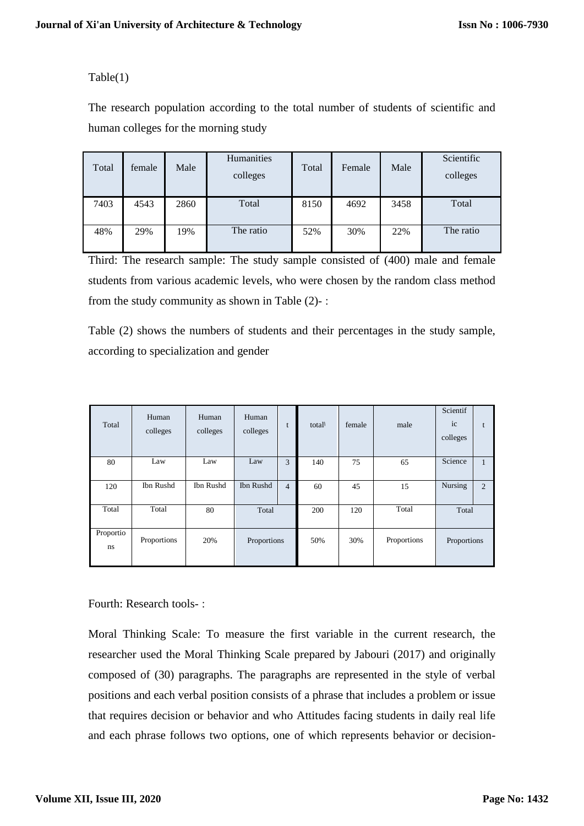# Table(1)

The research population according to the total number of students of scientific and human colleges for the morning study

| Total | female | Male | Humanities<br>colleges | Total | Female | Male | Scientific<br>colleges |
|-------|--------|------|------------------------|-------|--------|------|------------------------|
| 7403  | 4543   | 2860 | Total                  | 8150  | 4692   | 3458 | Total                  |
| 48%   | 29%    | 19%  | The ratio              | 52%   | 30%    | 22%  | The ratio              |

Third: The research sample: The study sample consisted of (400) male and female students from various academic levels, who were chosen by the random class method from the study community as shown in Table (2)- :

Table (2) shows the numbers of students and their percentages in the study sample, according to specialization and gender

| Total           | Human<br>colleges | Human<br>colleges | Human<br>colleges |                | total | female | male        | Scientif<br>ic<br>colleges |              |
|-----------------|-------------------|-------------------|-------------------|----------------|-------|--------|-------------|----------------------------|--------------|
| 80              | Law               | Law               | Law               | 3              | 140   | 75     | 65          | Science                    | $\mathbf{1}$ |
| 120             | Ibn Rushd         | Ibn Rushd         | Ibn Rushd         | $\overline{4}$ | 60    | 45     | 15          | Nursing                    | 2            |
| Total           | Total             | 80                | Total             |                | 200   | 120    | Total       | Total                      |              |
| Proportio<br>ns | Proportions       | 20%               | Proportions       |                | 50%   | 30%    | Proportions | Proportions                |              |

Fourth: Research tools- :

Moral Thinking Scale: To measure the first variable in the current research, the researcher used the Moral Thinking Scale prepared by Jabouri (2017) and originally composed of (30) paragraphs. The paragraphs are represented in the style of verbal positions and each verbal position consists of a phrase that includes a problem or issue that requires decision or behavior and who Attitudes facing students in daily real life and each phrase follows two options, one of which represents behavior or decision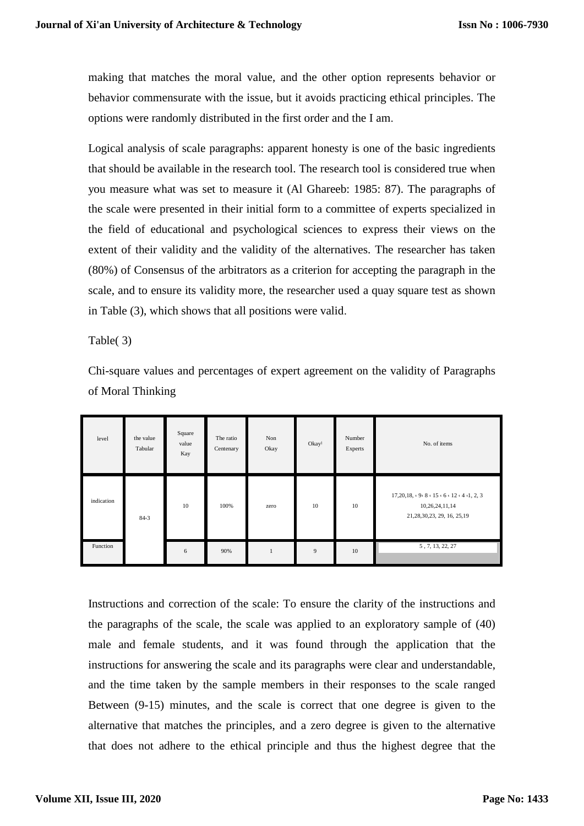making that matches the moral value, and the other option represents behavior or behavior commensurate with the issue, but it avoids practicing ethical principles. The options were randomly distributed in the first order and the I am.

Logical analysis of scale paragraphs: apparent honesty is one of the basic ingredients that should be available in the research tool. The research tool is considered true when you measure what was set to measure it (Al Ghareeb: 1985: 87). The paragraphs of the scale were presented in their initial form to a committee of experts specialized in the field of educational and psychological sciences to express their views on the extent of their validity and the validity of the alternatives. The researcher has taken (80%) of Consensus of the arbitrators as a criterion for accepting the paragraph in the scale, and to ensure its validity more, the researcher used a quay square test as shown in Table (3), which shows that all positions were valid.

Table( 3)

Chi-square values and percentages of expert agreement on the validity of Paragraphs of Moral Thinking

| level      | the value<br>Tabular | Square<br>value<br>Kay | The ratio<br>Centenary | Non<br>Okay  | Okay | Number<br>Experts | No. of items                                                                                                                    |
|------------|----------------------|------------------------|------------------------|--------------|------|-------------------|---------------------------------------------------------------------------------------------------------------------------------|
| indication | 84.3                 | 10                     | 100%                   | zero         | 10   | 10                | $17,20,18, \cdot 9 \cdot 8 \cdot 15 \cdot 6 \cdot 12 \cdot 4 \cdot 1, 2, 3$<br>10,26,24,11,14<br>21, 28, 30, 23, 29, 16, 25, 19 |
| Function   |                      | 6                      | 90%                    | $\mathbf{1}$ | 9    | 10                | 5, 7, 13, 22, 27                                                                                                                |

Instructions and correction of the scale: To ensure the clarity of the instructions and the paragraphs of the scale, the scale was applied to an exploratory sample of (40) male and female students, and it was found through the application that the instructions for answering the scale and its paragraphs were clear and understandable, and the time taken by the sample members in their responses to the scale ranged Between (9-15) minutes, and the scale is correct that one degree is given to the alternative that matches the principles, and a zero degree is given to the alternative that does not adhere to the ethical principle and thus the highest degree that the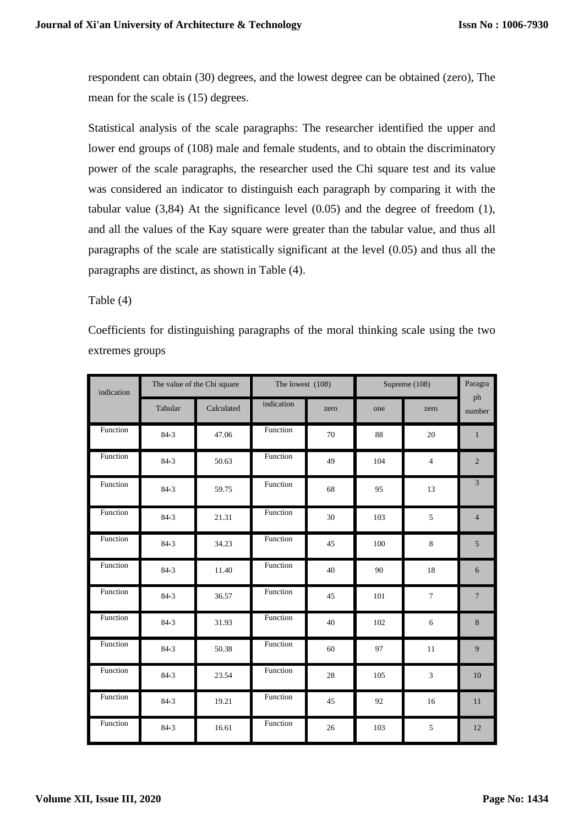respondent can obtain (30) degrees, and the lowest degree can be obtained (zero), The mean for the scale is (15) degrees.

Statistical analysis of the scale paragraphs: The researcher identified the upper and lower end groups of (108) male and female students, and to obtain the discriminatory power of the scale paragraphs, the researcher used the Chi square test and its value was considered an indicator to distinguish each paragraph by comparing it with the tabular value  $(3,84)$  At the significance level  $(0.05)$  and the degree of freedom  $(1)$ , and all the values of the Kay square were greater than the tabular value, and thus all paragraphs of the scale are statistically significant at the level (0.05) and thus all the paragraphs are distinct, as shown in Table (4).

Table (4)

Coefficients for distinguishing paragraphs of the moral thinking scale using the two extremes groups

| indication |         | The value of the Chi square | The lowest (108) |      |     | Supreme (108)  |                |  |
|------------|---------|-----------------------------|------------------|------|-----|----------------|----------------|--|
|            | Tabular | Calculated                  | indication       | zero | one | zero           | ph<br>number   |  |
| Function   | 84.3    | 47.06                       | Function         | 70   | 88  | 20             | $\mathbf{1}$   |  |
| Function   | 84.3    | 50.63                       | Function         | 49   | 104 | $\overline{4}$ | $\overline{2}$ |  |
| Function   | 84.3    | 59.75                       | Function         | 68   | 95  | 13             | $\overline{3}$ |  |
| Function   | 84.3    | 21.31                       | Function         | 30   | 103 | 5              | $\overline{4}$ |  |
| Function   | 84.3    | 34.23                       | Function         | 45   | 100 | $\,8\,$        | $\sqrt{5}$     |  |
| Function   | 84.3    | 11.40                       | Function         | 40   | 90  | 18             | 6              |  |
| Function   | 84.3    | 36.57                       | Function         | 45   | 101 | $\tau$         | $\overline{7}$ |  |
| Function   | 84.3    | 31.93                       | Function         | 40   | 102 | 6              | 8              |  |
| Function   | 84.3    | 50.38                       | Function         | 60   | 97  | 11             | 9              |  |
| Function   | 84.3    | 23.54                       | Function         | 28   | 105 | 3              | 10             |  |
| Function   | 84.3    | 19.21                       | Function         | 45   | 92  | 16             | 11             |  |
| Function   | 84.3    | 16.61                       | Function         | 26   | 103 | $\sqrt{5}$     | 12             |  |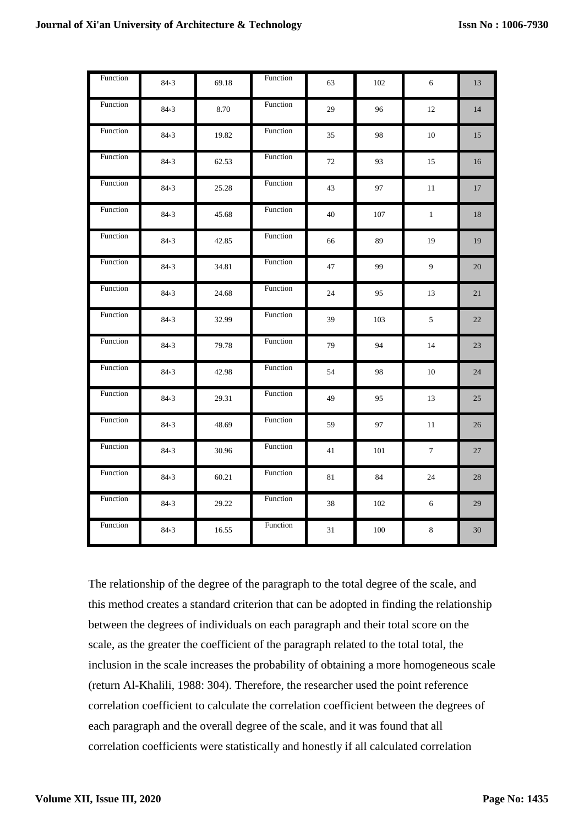| Function | 84.3 | 69.18 | Function | 63 | 102     | 6                | 13     |
|----------|------|-------|----------|----|---------|------------------|--------|
| Function | 84.3 | 8.70  | Function | 29 | 96      | 12               | 14     |
| Function | 84.3 | 19.82 | Function | 35 | 98      | 10               | 15     |
| Function | 84.3 | 62.53 | Function | 72 | 93      | 15               | 16     |
| Function | 84.3 | 25.28 | Function | 43 | 97      | 11               | 17     |
| Function | 84.3 | 45.68 | Function | 40 | $107\,$ | $\mathbf{1}$     | 18     |
| Function | 84.3 | 42.85 | Function | 66 | 89      | 19               | 19     |
| Function | 84.3 | 34.81 | Function | 47 | 99      | $\boldsymbol{9}$ | $20\,$ |
| Function | 84.3 | 24.68 | Function | 24 | 95      | 13               | 21     |
| Function | 84.3 | 32.99 | Function | 39 | 103     | $\sqrt{5}$       | 22     |
| Function | 84.3 | 79.78 | Function | 79 | 94      | 14               | 23     |
| Function | 84.3 | 42.98 | Function | 54 | 98      | 10               | 24     |
| Function | 84.3 | 29.31 | Function | 49 | 95      | 13               | 25     |
| Function | 84.3 | 48.69 | Function | 59 | 97      | 11               | 26     |
| Function | 84.3 | 30.96 | Function | 41 | 101     | $\boldsymbol{7}$ | 27     |
| Function | 84.3 | 60.21 | Function | 81 | 84      | 24               | 28     |
| Function | 84.3 | 29.22 | Function | 38 | 102     | 6                | 29     |
| Function | 84.3 | 16.55 | Function | 31 | 100     | $\,8\,$          | 30     |

The relationship of the degree of the paragraph to the total degree of the scale, and this method creates a standard criterion that can be adopted in finding the relationship between the degrees of individuals on each paragraph and their total score on the scale, as the greater the coefficient of the paragraph related to the total total, the inclusion in the scale increases the probability of obtaining a more homogeneous scale (return Al-Khalili, 1988: 304). Therefore, the researcher used the point reference correlation coefficient to calculate the correlation coefficient between the degrees of each paragraph and the overall degree of the scale, and it was found that all correlation coefficients were statistically and honestly if all calculated correlation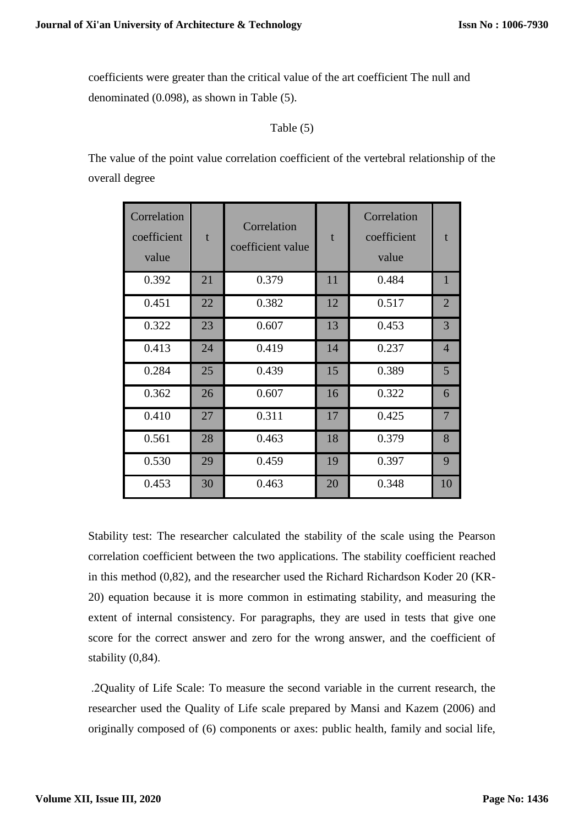coefficients were greater than the critical value of the art coefficient The null and denominated (0.098), as shown in Table (5).

# Table (5)

The value of the point value correlation coefficient of the vertebral relationship of the overall degree

| Correlation<br>coefficient<br>value | t  | Correlation<br>coefficient value | $\mathbf{f}$ | Correlation<br>coefficient<br>value | f              |
|-------------------------------------|----|----------------------------------|--------------|-------------------------------------|----------------|
| 0.392                               | 21 | 0.379                            | 11           | 0.484                               | $\mathbf{1}$   |
| 0.451                               | 22 | 0.382                            | 12           | 0.517                               | $\overline{2}$ |
| 0.322                               | 23 | 0.607                            | 13           | 0.453                               | $\overline{3}$ |
| 0.413                               | 24 | 0.419                            | 14           | 0.237                               | $\overline{4}$ |
| 0.284                               | 25 | 0.439                            | 15           | 0.389                               | 5 <sup>5</sup> |
| 0.362                               | 26 | 0.607                            | 16           | 0.322                               | 6              |
| 0.410                               | 27 | 0.311                            | 17           | 0.425                               | $\overline{7}$ |
| 0.561                               | 28 | 0.463                            | 18           | 0.379                               | 8              |
| 0.530                               | 29 | 0.459                            | 19           | 0.397                               | 9              |
| 0.453                               | 30 | 0.463                            | 20           | 0.348                               | 10             |

Stability test: The researcher calculated the stability of the scale using the Pearson correlation coefficient between the two applications. The stability coefficient reached in this method (0,82), and the researcher used the Richard Richardson Koder 20 (KR-20) equation because it is more common in estimating stability, and measuring the extent of internal consistency. For paragraphs, they are used in tests that give one score for the correct answer and zero for the wrong answer, and the coefficient of stability (0,84).

 .2Quality of Life Scale: To measure the second variable in the current research, the researcher used the Quality of Life scale prepared by Mansi and Kazem (2006) and originally composed of (6) components or axes: public health, family and social life,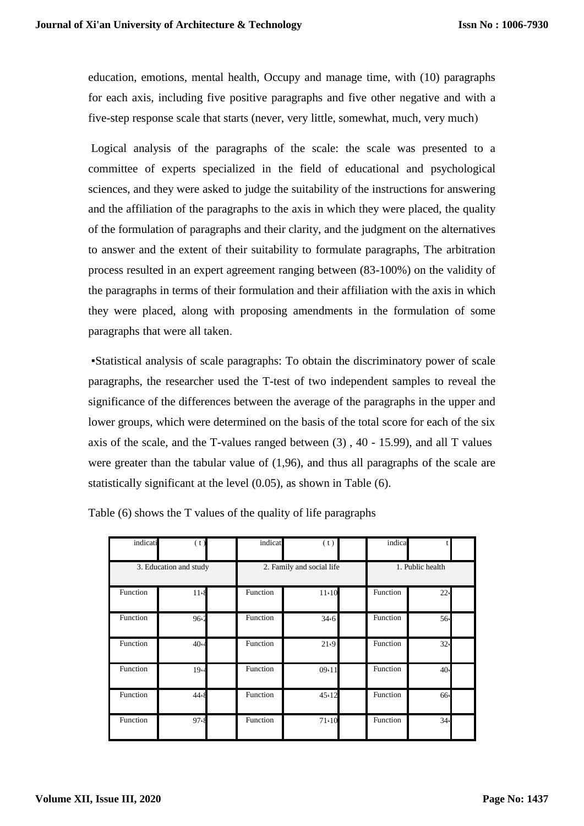education, emotions, mental health, Occupy and manage time, with (10) paragraphs for each axis, including five positive paragraphs and five other negative and with a five-step response scale that starts (never, very little, somewhat, much, very much)

Logical analysis of the paragraphs of the scale: the scale was presented to a committee of experts specialized in the field of educational and psychological sciences, and they were asked to judge the suitability of the instructions for answering and the affiliation of the paragraphs to the axis in which they were placed, the quality of the formulation of paragraphs and their clarity, and the judgment on the alternatives to answer and the extent of their suitability to formulate paragraphs, The arbitration process resulted in an expert agreement ranging between (83-100%) on the validity of the paragraphs in terms of their formulation and their affiliation with the axis in which they were placed, along with proposing amendments in the formulation of some paragraphs that were all taken.

 ▪Statistical analysis of scale paragraphs: To obtain the discriminatory power of scale paragraphs, the researcher used the T-test of two independent samples to reveal the significance of the differences between the average of the paragraphs in the upper and lower groups, which were determined on the basis of the total score for each of the six axis of the scale, and the T-values ranged between (3) , 40 - 15.99), and all T values were greater than the tabular value of (1,96), and thus all paragraphs of the scale are statistically significant at the level (0.05), as shown in Table (6).

| indicati               | (t)        | indicati                  | (t)   |                  | indica   |                 |  |
|------------------------|------------|---------------------------|-------|------------------|----------|-----------------|--|
| 3. Education and study |            | 2. Family and social life |       | 1. Public health |          |                 |  |
| Function               | 11.8       | Function                  | 11.10 |                  | Function | 22 <sub>4</sub> |  |
| Function               | 96.2       | Function                  | 34.6  |                  | Function | 56              |  |
| Function               | 40 $\cdot$ | Function                  | 21.9  |                  | Function | 32 <sub>6</sub> |  |
| Function               | 19.4       | Function                  | 09.11 |                  | Function | 40 <sub>°</sub> |  |
| Function               | 44.8       | Function                  | 45.12 |                  | Function | 66              |  |
| Function               | 97.8       | Function                  | 71.10 |                  | Function | 34 <sub>•</sub> |  |

Table (6) shows the T values of the quality of life paragraphs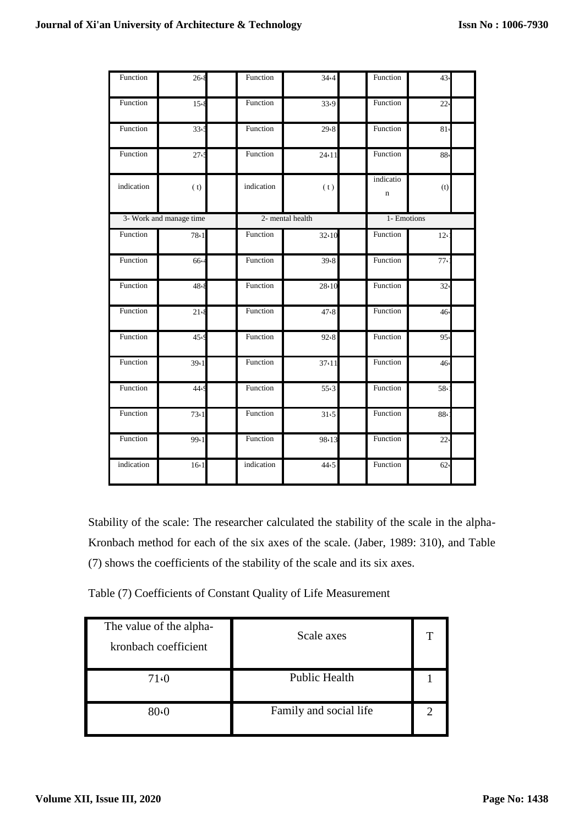| Function   | 26.8                    | Function         | 34.4  | Function                 | 43              |
|------------|-------------------------|------------------|-------|--------------------------|-----------------|
| Function   | 15.8                    | Function         | 33.9  | Function                 | 22.             |
| Function   | 33<                     | Function         | 29.8  | Function                 | 81 <sub>6</sub> |
| Function   | 27 <sub>1</sub>         | Function         | 24.11 | Function                 | 88              |
| indication | (t)                     | indication       | (t)   | indicatio<br>$\mathbf n$ | (t)             |
|            | 3- Work and manage time | 2- mental health |       | 1- Emotions              |                 |
| Function   | 78.1                    | Function         | 32.10 | Function                 | $12 \cdot$      |
| Function   | 66.4                    | Function         | 39.8  | Function                 | 77              |
| Function   | 48.8                    | Function         | 28.10 | Function                 | 32 <sub>6</sub> |
| Function   | 21.8                    | Function         | 47.8  | Function                 | 46              |
| Function   | 45.9                    | Function         | 92.8  | Function                 | 95              |
| Function   | 39.1                    | Function         | 37.11 | Function                 | 46              |
| Function   | 44.9                    | Function         | 55.3  | Function                 | 58              |
| Function   | 73.1                    | Function         | 31.5  | Function                 | 88              |
| Function   | 99.1                    | Function         | 98.13 | Function                 | 22.             |
| indication | 16(1)                   | indication       | 44.5  | Function                 | 62 <sub>°</sub> |

Stability of the scale: The researcher calculated the stability of the scale in the alpha-Kronbach method for each of the six axes of the scale. (Jaber, 1989: 310), and Table (7) shows the coefficients of the stability of the scale and its six axes.

Table (7) Coefficients of Constant Quality of Life Measurement

| The value of the alpha-<br>kronbach coefficient | Scale axes             | π |
|-------------------------------------------------|------------------------|---|
| 71.0                                            | <b>Public Health</b>   |   |
| 80.0                                            | Family and social life |   |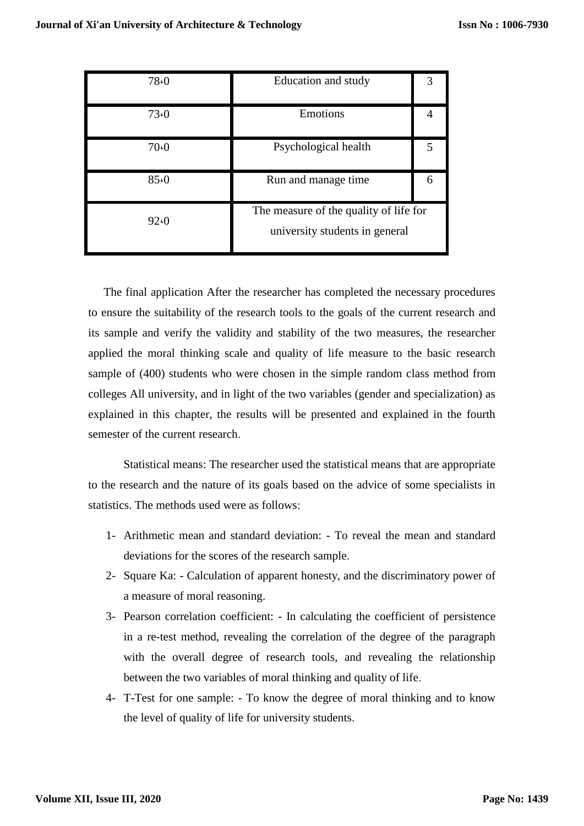| 78.0 | Education and study                                                      |   |
|------|--------------------------------------------------------------------------|---|
| 73.0 | Emotions                                                                 |   |
| 70.0 | Psychological health                                                     |   |
| 85.0 | Run and manage time.                                                     | 6 |
| 92.0 | The measure of the quality of life for<br>university students in general |   |

The final application After the researcher has completed the necessary procedures to ensure the suitability of the research tools to the goals of the current research and its sample and verify the validity and stability of the two measures, the researcher applied the moral thinking scale and quality of life measure to the basic research sample of (400) students who were chosen in the simple random class method from colleges All university, and in light of the two variables (gender and specialization) as explained in this chapter, the results will be presented and explained in the fourth semester of the current research.

Statistical means: The researcher used the statistical means that are appropriate to the research and the nature of its goals based on the advice of some specialists in statistics. The methods used were as follows:

- 1- Arithmetic mean and standard deviation: To reveal the mean and standard deviations for the scores of the research sample.
- 2- Square Ka: Calculation of apparent honesty, and the discriminatory power of a measure of moral reasoning.
- 3- Pearson correlation coefficient: In calculating the coefficient of persistence in a re-test method, revealing the correlation of the degree of the paragraph with the overall degree of research tools, and revealing the relationship between the two variables of moral thinking and quality of life.
- 4- T-Test for one sample: To know the degree of moral thinking and to know the level of quality of life for university students.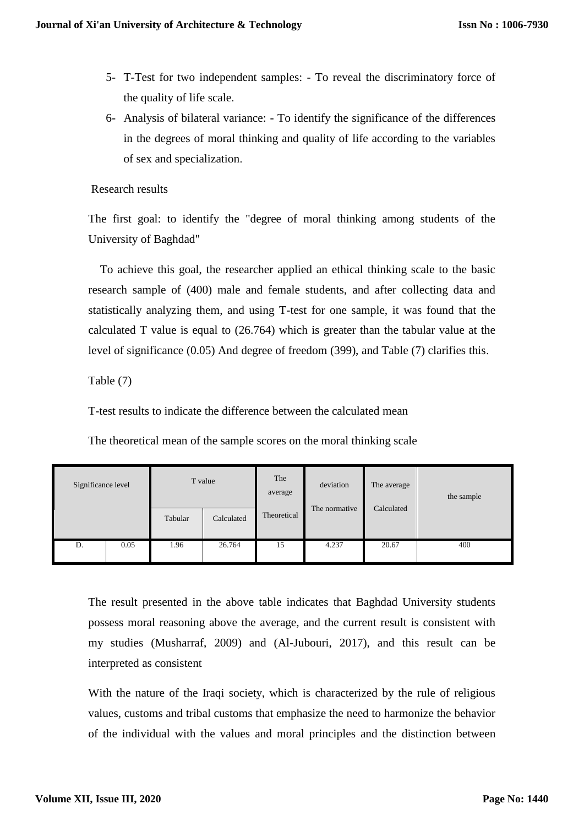- 5- T-Test for two independent samples: To reveal the discriminatory force of the quality of life scale.
- 6- Analysis of bilateral variance: To identify the significance of the differences in the degrees of moral thinking and quality of life according to the variables of sex and specialization.

## Research results

The first goal: to identify the "degree of moral thinking among students of the University of Baghdad"

To achieve this goal, the researcher applied an ethical thinking scale to the basic research sample of (400) male and female students, and after collecting data and statistically analyzing them, and using T-test for one sample, it was found that the calculated T value is equal to (26.764) which is greater than the tabular value at the level of significance (0.05) And degree of freedom (399), and Table (7) clarifies this.

Table (7)

T-test results to indicate the difference between the calculated mean

The theoretical mean of the sample scores on the moral thinking scale

| Significance level |      |         | T value    | The<br>average | deviation     | The average | the sample |
|--------------------|------|---------|------------|----------------|---------------|-------------|------------|
|                    |      | Tabular | Calculated | Theoretical    | The normative | Calculated  |            |
| D.                 | 0.05 | 1.96    | 26.764     | 15             | 4.237         | 20.67       | 400        |

The result presented in the above table indicates that Baghdad University students possess moral reasoning above the average, and the current result is consistent with my studies (Musharraf, 2009) and (Al-Jubouri, 2017), and this result can be interpreted as consistent

With the nature of the Iraqi society, which is characterized by the rule of religious values, customs and tribal customs that emphasize the need to harmonize the behavior of the individual with the values and moral principles and the distinction between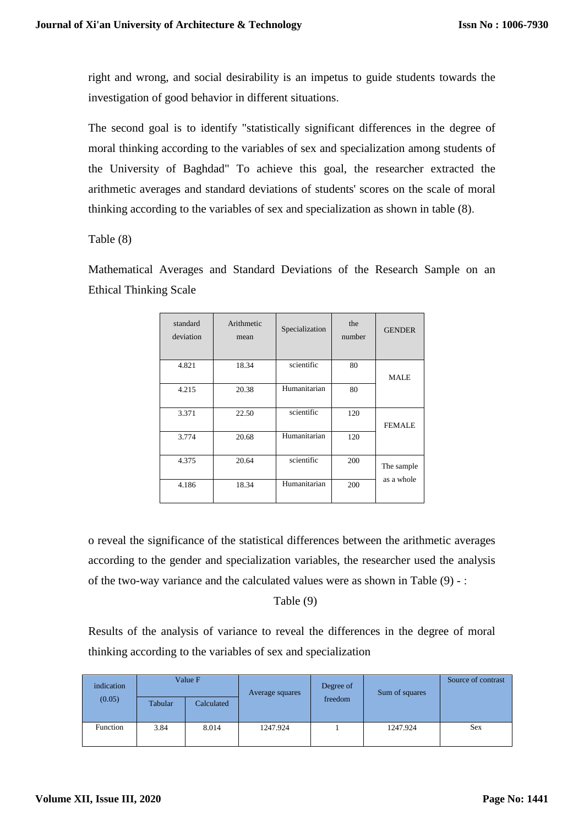right and wrong, and social desirability is an impetus to guide students towards the investigation of good behavior in different situations.

The second goal is to identify "statistically significant differences in the degree of moral thinking according to the variables of sex and specialization among students of the University of Baghdad" To achieve this goal, the researcher extracted the arithmetic averages and standard deviations of students' scores on the scale of moral thinking according to the variables of sex and specialization as shown in table (8).

Table (8)

Mathematical Averages and Standard Deviations of the Research Sample on an Ethical Thinking Scale

| standard<br>deviation | Arithmetic<br>mean | Specialization |     | <b>GENDER</b> |
|-----------------------|--------------------|----------------|-----|---------------|
| 4.821                 | 18.34              | scientific     | 80  | <b>MALE</b>   |
| 4.215                 | 20.38              | Humanitarian   | 80  |               |
| 3.371                 | 22.50              | scientific     | 120 | <b>FEMALE</b> |
| 3.774                 | 20.68              | Humanitarian   | 120 |               |
| 4.375                 | 20.64              | scientific     | 200 | The sample    |
| 4.186                 | 18.34              | Humanitarian   | 200 | as a whole    |

o reveal the significance of the statistical differences between the arithmetic averages according to the gender and specialization variables, the researcher used the analysis of the two-way variance and the calculated values were as shown in Table (9) - :

Table (9)

Results of the analysis of variance to reveal the differences in the degree of moral thinking according to the variables of sex and specialization

| indication | Value F |                       | Average squares | Degree of | Sum of squares | Source of contrast |
|------------|---------|-----------------------|-----------------|-----------|----------------|--------------------|
| (0.05)     | Tabular | freedom<br>Calculated |                 |           |                |                    |
| Function   | 3.84    | 8.014                 | 1247.924        |           | 1247.924       | <b>Sex</b>         |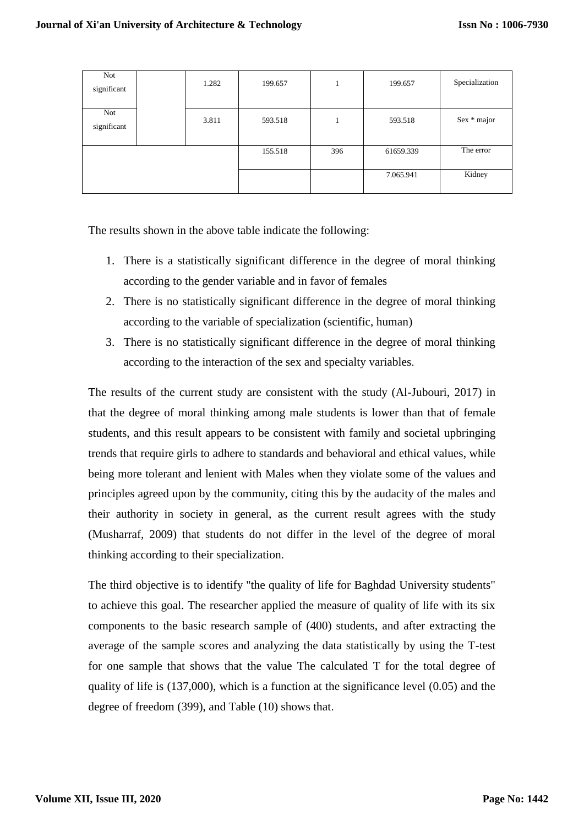| Not<br>significant | 1.282 | 199.657 |     | 199.657   | Specialization |
|--------------------|-------|---------|-----|-----------|----------------|
| Not<br>significant | 3.811 | 593.518 |     | 593.518   | Sex * major    |
|                    |       | 155.518 | 396 | 61659.339 | The error      |
|                    |       |         |     | 7.065.941 | Kidney         |

The results shown in the above table indicate the following:

- 1. There is a statistically significant difference in the degree of moral thinking according to the gender variable and in favor of females
- 2. There is no statistically significant difference in the degree of moral thinking according to the variable of specialization (scientific, human)
- 3. There is no statistically significant difference in the degree of moral thinking according to the interaction of the sex and specialty variables.

The results of the current study are consistent with the study (Al-Jubouri, 2017) in that the degree of moral thinking among male students is lower than that of female students, and this result appears to be consistent with family and societal upbringing trends that require girls to adhere to standards and behavioral and ethical values, while being more tolerant and lenient with Males when they violate some of the values and principles agreed upon by the community, citing this by the audacity of the males and their authority in society in general, as the current result agrees with the study (Musharraf, 2009) that students do not differ in the level of the degree of moral thinking according to their specialization.

The third objective is to identify "the quality of life for Baghdad University students" to achieve this goal. The researcher applied the measure of quality of life with its six components to the basic research sample of (400) students, and after extracting the average of the sample scores and analyzing the data statistically by using the T-test for one sample that shows that the value The calculated T for the total degree of quality of life is (137,000), which is a function at the significance level (0.05) and the degree of freedom (399), and Table (10) shows that.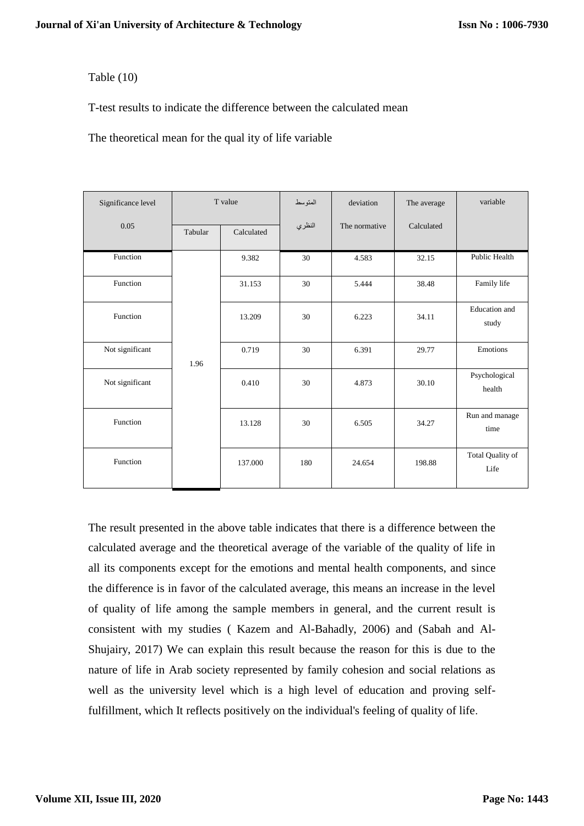# Table (10)

T-test results to indicate the difference between the calculated mean

The theoretical mean for the qual ity of life variable

| Significance level | T value |            | المتوسط | deviation     | The average | variable                      |
|--------------------|---------|------------|---------|---------------|-------------|-------------------------------|
| 0.05               | Tabular | Calculated | النظري  | The normative | Calculated  |                               |
| Function           |         | 9.382      | 30      | 4.583         | 32.15       | <b>Public Health</b>          |
| Function           |         | 31.153     | 30      | 5.444         | 38.48       | Family life                   |
| Function           |         | 13.209     | 30      | 6.223         | 34.11       | <b>Education</b> and<br>study |
| Not significant    | 1.96    | 0.719      | 30      | 6.391         | 29.77       | Emotions                      |
| Not significant    |         | 0.410      | 30      | 4.873         | 30.10       | Psychological<br>health       |
| Function           |         | 13.128     | 30      | 6.505         | 34.27       | Run and manage<br>time        |
| Function           |         | 137.000    | 180     | 24.654        | 198.88      | Total Quality of<br>Life      |

The result presented in the above table indicates that there is a difference between the calculated average and the theoretical average of the variable of the quality of life in all its components except for the emotions and mental health components, and since the difference is in favor of the calculated average, this means an increase in the level of quality of life among the sample members in general, and the current result is consistent with my studies ( Kazem and Al-Bahadly, 2006) and (Sabah and Al-Shujairy, 2017) We can explain this result because the reason for this is due to the nature of life in Arab society represented by family cohesion and social relations as well as the university level which is a high level of education and proving selffulfillment, which It reflects positively on the individual's feeling of quality of life.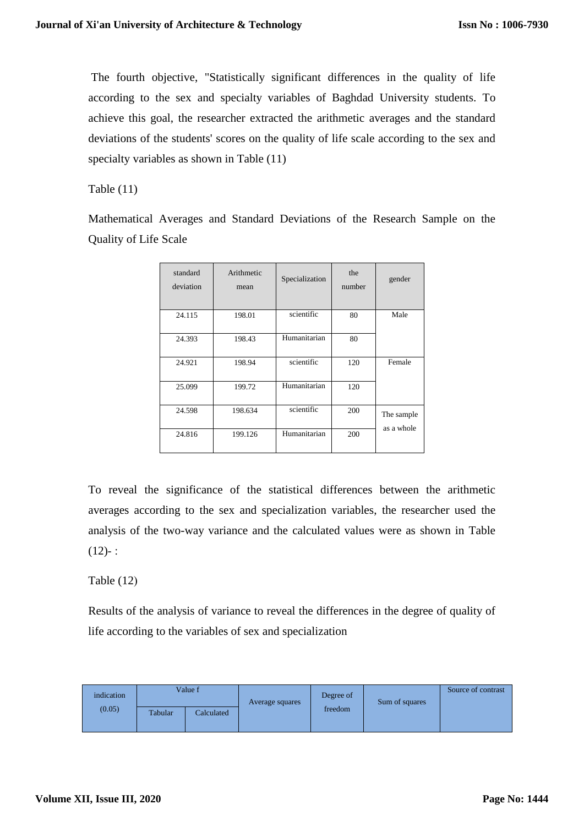The fourth objective, "Statistically significant differences in the quality of life according to the sex and specialty variables of Baghdad University students. To achieve this goal, the researcher extracted the arithmetic averages and the standard deviations of the students' scores on the quality of life scale according to the sex and specialty variables as shown in Table  $(11)$ 

Table (11)

Mathematical Averages and Standard Deviations of the Research Sample on the Quality of Life Scale

| standard<br>deviation | Arithmetic<br>mean | Specialization | the<br>number | gender                   |
|-----------------------|--------------------|----------------|---------------|--------------------------|
| 24.115                | 198.01             | scientific     | 80            | Male                     |
| 24.393                | 198.43             | Humanitarian   | 80            |                          |
| 24.921                | 198.94             | scientific     | 120           | Female                   |
| 25.099                | 199.72             | Humanitarian   | 120           |                          |
| 24.598                | 198.634            | scientific     | 200           | The sample<br>as a whole |
| 24.816                | 199.126            | Humanitarian   | 200           |                          |

To reveal the significance of the statistical differences between the arithmetic averages according to the sex and specialization variables, the researcher used the analysis of the two-way variance and the calculated values were as shown in Table  $(12) -$ :

Table  $(12)$ 

Results of the analysis of variance to reveal the differences in the degree of quality of life according to the variables of sex and specialization

| indication<br>(0.05) | Value f |            | Average squares | Degree of | Sum of squares | Source of contrast |
|----------------------|---------|------------|-----------------|-----------|----------------|--------------------|
|                      | Tabular | Calculated |                 | freedom   |                |                    |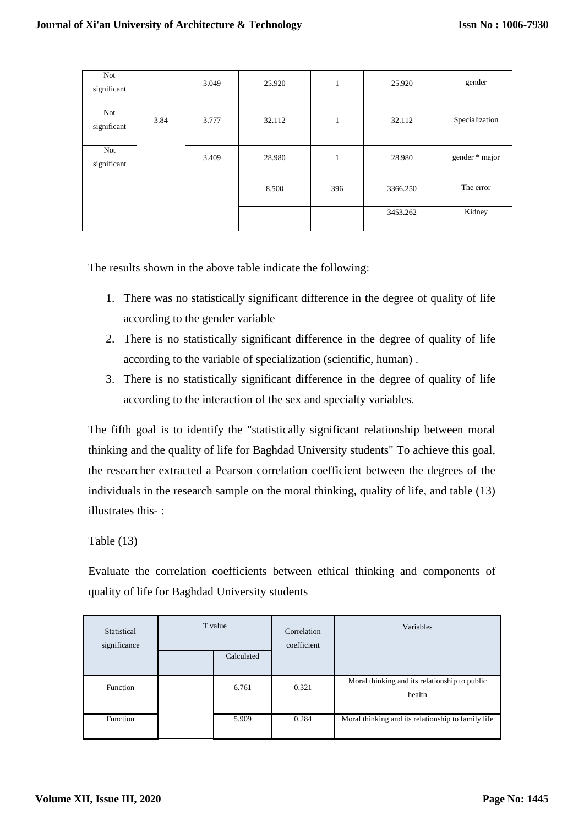| Not<br>significant |      | 3.049 | 25.920 | $\mathbf{1}$ | 25.920   | gender         |
|--------------------|------|-------|--------|--------------|----------|----------------|
| Not<br>significant | 3.84 | 3.777 | 32.112 | 1            | 32.112   | Specialization |
| Not<br>significant |      | 3.409 | 28.980 | 1            | 28.980   | gender * major |
|                    |      |       | 8.500  | 396          | 3366.250 | The error      |
|                    |      |       |        |              | 3453.262 | Kidney         |

The results shown in the above table indicate the following:

- 1. There was no statistically significant difference in the degree of quality of life according to the gender variable
- 2. There is no statistically significant difference in the degree of quality of life according to the variable of specialization (scientific, human) .
- 3. There is no statistically significant difference in the degree of quality of life according to the interaction of the sex and specialty variables.

The fifth goal is to identify the "statistically significant relationship between moral thinking and the quality of life for Baghdad University students" To achieve this goal, the researcher extracted a Pearson correlation coefficient between the degrees of the individuals in the research sample on the moral thinking, quality of life, and table (13) illustrates this- :

Table (13)

Evaluate the correlation coefficients between ethical thinking and components of quality of life for Baghdad University students

| Statistical<br>significance | T value<br>Calculated |       | Correlation<br>coefficient | Variables                                               |
|-----------------------------|-----------------------|-------|----------------------------|---------------------------------------------------------|
| Function                    |                       | 6.761 | 0.321                      | Moral thinking and its relationship to public<br>health |
| Function                    |                       | 5.909 | 0.284                      | Moral thinking and its relationship to family life      |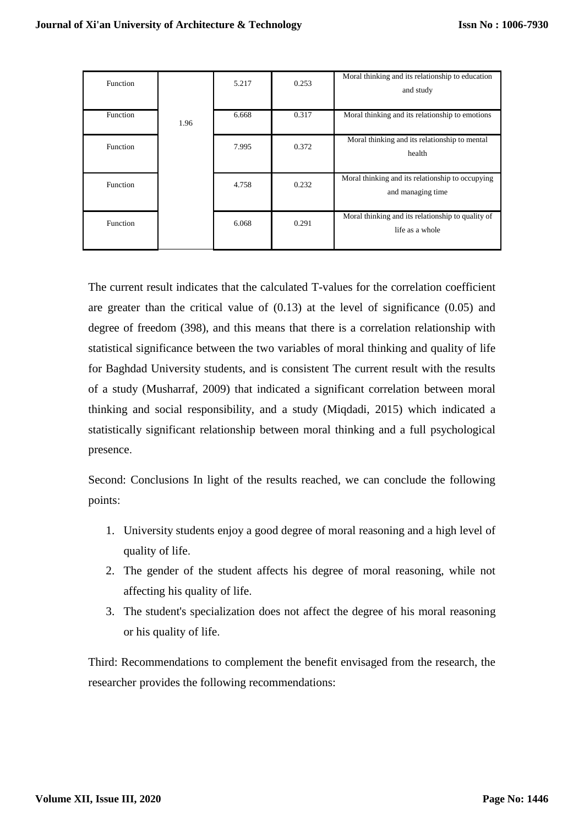| Function |      | 5.217 | 0.253 | Moral thinking and its relationship to education<br>and study         |
|----------|------|-------|-------|-----------------------------------------------------------------------|
| Function | 1.96 | 6.668 | 0.317 | Moral thinking and its relationship to emotions                       |
| Function |      | 7.995 | 0.372 | Moral thinking and its relationship to mental<br>health               |
| Function |      | 4.758 | 0.232 | Moral thinking and its relationship to occupying<br>and managing time |
| Function |      | 6.068 | 0.291 | Moral thinking and its relationship to quality of<br>life as a whole  |

The current result indicates that the calculated T-values for the correlation coefficient are greater than the critical value of (0.13) at the level of significance (0.05) and degree of freedom (398), and this means that there is a correlation relationship with statistical significance between the two variables of moral thinking and quality of life for Baghdad University students, and is consistent The current result with the results of a study (Musharraf, 2009) that indicated a significant correlation between moral thinking and social responsibility, and a study (Miqdadi, 2015) which indicated a statistically significant relationship between moral thinking and a full psychological presence.

Second: Conclusions In light of the results reached, we can conclude the following points:

- 1. University students enjoy a good degree of moral reasoning and a high level of quality of life.
- 2. The gender of the student affects his degree of moral reasoning, while not affecting his quality of life.
- 3. The student's specialization does not affect the degree of his moral reasoning or his quality of life.

Third: Recommendations to complement the benefit envisaged from the research, the researcher provides the following recommendations: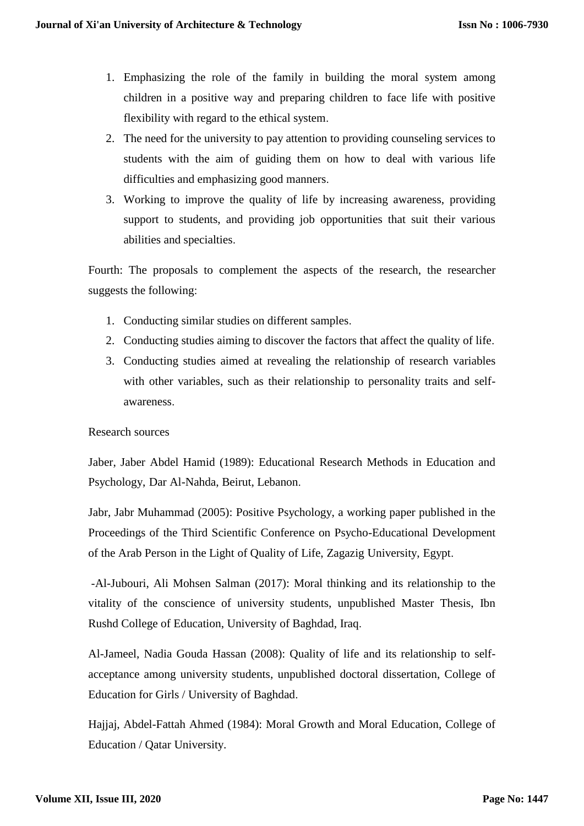- 1. Emphasizing the role of the family in building the moral system among children in a positive way and preparing children to face life with positive flexibility with regard to the ethical system.
- 2. The need for the university to pay attention to providing counseling services to students with the aim of guiding them on how to deal with various life difficulties and emphasizing good manners.
- 3. Working to improve the quality of life by increasing awareness, providing support to students, and providing job opportunities that suit their various abilities and specialties.

Fourth: The proposals to complement the aspects of the research, the researcher suggests the following:

- 1. Conducting similar studies on different samples.
- 2. Conducting studies aiming to discover the factors that affect the quality of life.
- 3. Conducting studies aimed at revealing the relationship of research variables with other variables, such as their relationship to personality traits and selfawareness.

## Research sources

Jaber, Jaber Abdel Hamid (1989): Educational Research Methods in Education and Psychology, Dar Al-Nahda, Beirut, Lebanon.

Jabr, Jabr Muhammad (2005): Positive Psychology, a working paper published in the Proceedings of the Third Scientific Conference on Psycho-Educational Development of the Arab Person in the Light of Quality of Life, Zagazig University, Egypt.

-Al-Jubouri, Ali Mohsen Salman (2017): Moral thinking and its relationship to the vitality of the conscience of university students, unpublished Master Thesis, Ibn Rushd College of Education, University of Baghdad, Iraq.

Al-Jameel, Nadia Gouda Hassan (2008): Quality of life and its relationship to selfacceptance among university students, unpublished doctoral dissertation, College of Education for Girls / University of Baghdad.

Hajjaj, Abdel-Fattah Ahmed (1984): Moral Growth and Moral Education, College of Education / Qatar University.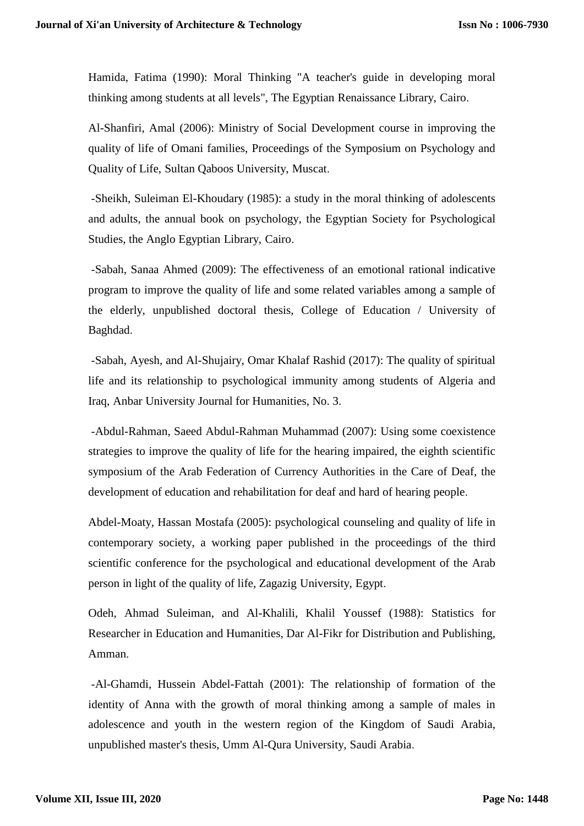Hamida, Fatima (1990): Moral Thinking "A teacher's guide in developing moral thinking among students at all levels", The Egyptian Renaissance Library, Cairo.

Al-Shanfiri, Amal (2006): Ministry of Social Development course in improving the quality of life of Omani families, Proceedings of the Symposium on Psychology and Quality of Life, Sultan Qaboos University, Muscat.

-Sheikh, Suleiman El-Khoudary (1985): a study in the moral thinking of adolescents and adults, the annual book on psychology, the Egyptian Society for Psychological Studies, the Anglo Egyptian Library, Cairo.

-Sabah, Sanaa Ahmed (2009): The effectiveness of an emotional rational indicative program to improve the quality of life and some related variables among a sample of the elderly, unpublished doctoral thesis, College of Education / University of Baghdad.

-Sabah, Ayesh, and Al-Shujairy, Omar Khalaf Rashid (2017): The quality of spiritual life and its relationship to psychological immunity among students of Algeria and Iraq, Anbar University Journal for Humanities, No. 3.

-Abdul-Rahman, Saeed Abdul-Rahman Muhammad (2007): Using some coexistence strategies to improve the quality of life for the hearing impaired, the eighth scientific symposium of the Arab Federation of Currency Authorities in the Care of Deaf, the development of education and rehabilitation for deaf and hard of hearing people.

Abdel-Moaty, Hassan Mostafa (2005): psychological counseling and quality of life in contemporary society, a working paper published in the proceedings of the third scientific conference for the psychological and educational development of the Arab person in light of the quality of life, Zagazig University, Egypt.

Odeh, Ahmad Suleiman, and Al-Khalili, Khalil Youssef (1988): Statistics for Researcher in Education and Humanities, Dar Al-Fikr for Distribution and Publishing, Amman.

-Al-Ghamdi, Hussein Abdel-Fattah (2001): The relationship of formation of the identity of Anna with the growth of moral thinking among a sample of males in adolescence and youth in the western region of the Kingdom of Saudi Arabia, unpublished master's thesis, Umm Al-Qura University, Saudi Arabia.